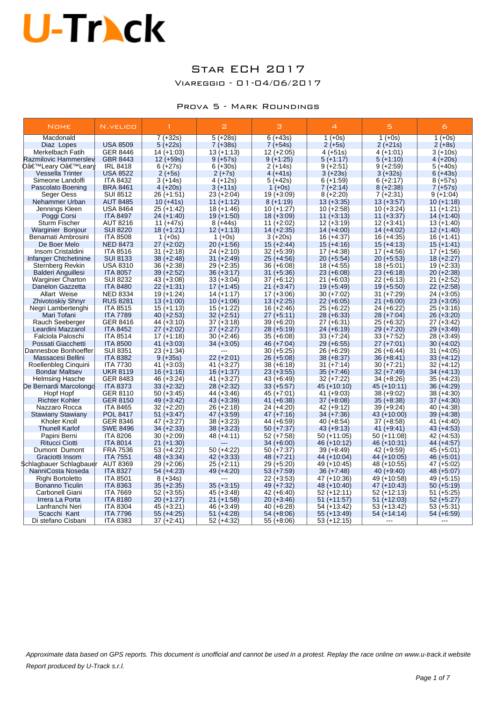### Star ECH 2017

Viareggio - 01-04/06/2017

### Prova 5 - Mark Roundings

| <b>NOME</b>               | N.VELICO        | $\mathbf{1}$ | $\mathbf{z}$ | з            | $\overline{4}$ | 5.            | 6            |
|---------------------------|-----------------|--------------|--------------|--------------|----------------|---------------|--------------|
| Macdonald                 |                 | $7 (+32s)$   | $5 (+28s)$   | $6 (+43s)$   | $1 (+0s)$      | $1 (+0s)$     | $1 (+0s)$    |
| Diaz Lopes                | <b>USA 8509</b> | $5 (+22s)$   | $7 (+38s)$   | $7 (+54s)$   | $2 (+5s)$      | $2 (+21s)$    | $2 (+8s)$    |
| Merkelbach Fatih          | GER 8446        | $14 (+1:03)$ | $13 (+1:13)$ | $12 (+2:05)$ | $4 (+51s)$     | $4 (+1.01)$   | $3 (+10s)$   |
| Razmilovic Hammerslev     | <b>GBR 8443</b> | $12 (+59s)$  | $9 (+57s)$   | $9 (+1:25)$  | $5(+1:17)$     | $5 (+1:10)$   | $4 (+20s)$   |
| 0'Leary O'Learly          | <b>IRL 8418</b> | $6 (+27s)$   | $6 (+30s)$   | $2 (+14s)$   | $9 (+2:51)$    | $9 (+2.59)$   | $5(+40s)$    |
| <b>Vessella Trinter</b>   | <b>USA 8522</b> | $2 (+5s)$    | $2 (+7s)$    | $4 (+41s)$   | $3 (+23s)$     | $3 (+32s)$    | $6 (+43s)$   |
| Simeone Landolfi          | <b>ITA 8432</b> | $3 (+14s)$   | $4 (+12s)$   | $5 (+42s)$   | $6 (+1:59)$    | $6 (+2:17)$   | $8 (+57s)$   |
| Pascolato Boening         | <b>BRA 8461</b> | $4 (+20s)$   | $3 (+11s)$   | $1 (+0s)$    | $7(+2:14)$     | $8 (+2:38)$   | $7 (+57s)$   |
| Seger Oess                | <b>SUI 8512</b> | 26 (+1:51)   | $23 (+2.04)$ | $19(+3.09)$  | $8 (+2:20)$    | 7 (+2:31)     | $9(+1.04)$   |
| Nehammer Urban            | <b>AUT 8485</b> | $10 (+41s)$  | $11 (+1:12)$ | $8 (+1:19)$  | $13 (+3.35)$   | $13 (+3.57)$  | $10 (+1:18)$ |
| Jennings Kleen            | <b>USA 8464</b> | $25 (+1:42)$ | $18 (+1.46)$ | $10 (+1:27)$ | $10 (+2:58)$   | $10 (+3:24)$  | $11 (+1.21)$ |
| Poggi Corsi               | <b>ITA 8497</b> | $24 (+1:40)$ | $19 (+1:50)$ | $18 (+3.09)$ | $11 (+3:13)$   | $11 (+3.37)$  | 14 (+1:40)   |
| <b>Sturm Fischer</b>      | <b>AUT 8216</b> | 11 $(+47s)$  | $8 (+44s)$   | $11 (+2:02)$ | $12 (+3:19)$   | $12 (+3.41)$  | $13 (+1:40)$ |
| Warginier Bonjour         | <b>SUI 8220</b> | $18 (+1:21)$ | $12 (+1:13)$ | $14 (+2.35)$ | $14 (+4.00)$   | $14 (+4.02)$  | $12 (+1:40)$ |
| Benamati Ambrosini        | <b>ITA 8508</b> | $1 (+0s)$    | 1 $(+0s)$    | $3 (+20s)$   | $16 (+4.37)$   | 16 (+4:35)    | $16 (+1:41)$ |
| De Boer Melo              | <b>NED 8473</b> | $27 (+2:02)$ | $20 (+1:56)$ | $15 (+2:44)$ | $15 (+4.16)$   | $15 (+4:13)$  | $15 (+1:41)$ |
| Insom Cristaldini         | <b>ITA 8516</b> | $31 (+2:18)$ | $24 (+2:10)$ | $32 (+5.39)$ | $17 (+4.38)$   | $17 (+4.56)$  | $17 (+1:56)$ |
| Infanger Chtchetinine     | <b>SUI 8133</b> | $38 (+2:48)$ | $31 (+2:49)$ | $25 (+4.56)$ | $20 (+5.54)$   | $20 (+5.53)$  | $18 (+2:27)$ |
| Sternberg Revkin          | <b>USA 8310</b> | 36 (+2:38)   | $29 (+2:35)$ | $36 (+6.08)$ | $18 (+4.55)$   | $18 (+5.01)$  | $19 (+2:33)$ |
| <b>Balderi Anguillesi</b> | <b>ITA 8057</b> | 39 (+2:52)   | $36 (+3:17)$ | $31 (+5.36)$ | $23 (+6.08)$   | $23 (+6.18)$  | $20 (+2:38)$ |
| <b>Warginier Charton</b>  | <b>SUI 8232</b> | $43 (+3.08)$ | $33 (+3.04)$ | $37 (+6.12)$ | $21 (+6.03)$   | $22 (+6:13)$  | $21 (+2:52)$ |
| Danelon Gazzetta          | <b>ITA 8480</b> | $22 (+1:31)$ | $17 (+1:45)$ | $21 (+3.47)$ | $19 (+5.49)$   | $19 (+5.50)$  | $22 (+2.58)$ |
| <b>Allart Weise</b>       | <b>NED 8334</b> | $19 (+1:24)$ | $14 (+1:17)$ | $17 (+3.06)$ | $30 (+7.02)$   | 31 (+7:29)    | $24 (+3.05)$ |
| Zhivotoskiy Shnyr         | <b>RUS 8281</b> | $13 (+1:00)$ | $10 (+1:06)$ | $13 (+2.25)$ | $22 (+6:05)$   | $21 (+6.00)$  | $23 (+3.05)$ |
| Negri Lambertenghi        | <b>ITA 8515</b> | $15 (+1:13)$ | $15 (+1.22)$ | $16 (+2:46)$ | $25 (+6.22)$   | 24 (+6:22)    | $25 (+3.16)$ |
| Mari Tofani               | <b>ITA 7789</b> | $40 (+2:53)$ | $32 (+2.51)$ | $27 (+5:11)$ | $28 (+6.33)$   | $28 (+7.04)$  | $26 (+3.20)$ |
| Rauch Seeberger           | GER 8416        | 44 (+3:10)   | $37 (+3.18)$ | $39 (+6.20)$ | $27 (+6.31)$   | 25 (+6:32)    | 27 (+3:42)   |
| Leardini Mazzarol         | <b>ITA 8452</b> | $27 (+2:02)$ | $27 (+2:27)$ | $28 (+5:19)$ | $24 (+6.19)$   | 29 (+7:20)    | $29 (+3:49)$ |
| Falciola Paloschi         | <b>ITA 8514</b> | 17 (+1:18)   | $30 (+2:46)$ | 35 (+6:08)   | $33 (+7:24)$   | 33 (+7:52)    | 28 (+3:49)   |
| Possati Giacchetti        | <b>ITA 8500</b> | $41 (+3.03)$ | $34 (+3.05)$ | $46 (+7.04)$ | $29 (+6.55)$   | $27 (+7:01)$  | $30 (+4.02)$ |
| Dannesboe Bonhoeffer      | <b>SUI 8351</b> | 23 (+1:34)   |              | $30 (+5.25)$ | $26 (+6.29)$   | 26 (+6:44)    | $31 (+4.05)$ |
| Massacesi Bellini         | <b>ITA 8382</b> | $9 (+35s)$   | $22 (+2:01)$ | $26 (+5.08)$ | $38 (+8.37)$   | $36 (+8.41)$  | $33 (+4:12)$ |
| Roellenbleg Cinquini      | <b>ITA 7730</b> | $41 (+3:03)$ | $41 (+3.27)$ | $38 (+6.18)$ | $31 (+7:14)$   | $30 (+7:21)$  | $32 (+4:12)$ |
| <b>Bondar Maltsev</b>     | UKR 8119        | $16 (+1:16)$ | $16 (+1:37)$ | $23 (+3.55)$ | $35 (+7.46)$   | $32 (+7.49)$  | $34 (+4:13)$ |
| <b>Helmsing Hasche</b>    | GER 8483        | 46 (+3:24)   | $41 (+3:27)$ | $43 (+6.49)$ | $32 (+7:22)$   | $34 (+8.26)$  | $35 (+4.23)$ |
| De Bernardi Marcolongd    | <b>ITA 8373</b> | $33 (+2:32)$ | $28 (+2:32)$ | $33 (+5.57)$ | 45 (+10:10)    | $45 (+10.11)$ | $36 (+4.29)$ |
| Hopf Hopf                 | GER 8110        | $50 (+3:45)$ | 44 (+3:46)   | 45 (+7:01)   | $41 (+9.03)$   | 38 (+9:02)    | $38 (+4.30)$ |
| <b>Richter Kohler</b>     | <b>GER 8150</b> | $49 (+3.42)$ | $43 (+3.39)$ | 41 (+6:38)   | $37 (+8.08)$   | $35 (+8.38)$  | $37 (+4.30)$ |
| Nazzaro Rocca             | <b>ITA 8465</b> | $32 (+2:20)$ | $26 (+2:18)$ | 24 (+4:20)   | 42 (+9:12)     | 39 (+9:24)    | 40 (+4:38)   |
| <b>Stawiany Stawiany</b>  | <b>POL 8417</b> | $51 (+3.47)$ | $47 (+3.59)$ | $47 (+7:16)$ | $34 (+7.36)$   | 43 (+10:00)   | $39 (+4.38)$ |
| Kholer Knoll              | GER 8346        | 47 (+3:27)   | $38 (+3:23)$ | 44 (+6:59)   | $40 (+8.54)$   | $37 (+8.58)$  | $41 (+4.40)$ |
| <b>Thunell Karlof</b>     | <b>SWE 8496</b> | $34 (+2:33)$ | $38 (+3:23)$ | $50 (+7:37)$ | $43 (+9:13)$   | $41 (+9.41)$  | $43 (+4.53)$ |
| Papini Berni              | <b>ITA 8206</b> | $30 (+2:09)$ | 48 (+4:11)   | $52 (+7:58)$ | 50 (+11:05)    | $50 (+11.08)$ | $42 (+4.53)$ |
| <b>Ritucci Ciotti</b>     | <b>ITA 8014</b> | $21 (+1:30)$ |              | $34 (+6.00)$ | 46 (+10:12)    | 46 (+10:31)   | 44 (+4:57)   |
| Dumont Dumont             | <b>FRA 7536</b> | 53 (+4:22)   | $50 (+4.22)$ | $50 (+7:37)$ | $39 (+8:49)$   | $42 (+9.59)$  | $45 (+5.01)$ |
| Graciotti Insom           | <b>ITA 7551</b> | $48 (+3.34)$ | $42 (+3:33)$ | $48 (+7:21)$ | 44 (+10:04)    | 44 (+10:05)   | $46 (+5.01)$ |
| Schlagbauer Schlagbauer   | <b>AUT 8369</b> | 29 (+2:06)   | $25 (+2:11)$ | 29 (+5:20)   | 49 (+10:45)    | 48 (+10:55)   | 47 (+5:02)   |
| NanniCosta Noseda         | <b>ITA 8327</b> | $54 (+4:23)$ | $49 (+4:20)$ | $53 (+7:59)$ | $36 (+7:48)$   | $40 (+9.40)$  | $48 (+5.07)$ |
| Righi Bortoletto          | <b>ITA 8501</b> | $8 (+34s)$   |              | $22 (+3.53)$ | 47 (+10:36)    | 49 (+10:58)   | 49 (+5:15)   |
| <b>Bonanno Ticulin</b>    | <b>ITA 8363</b> | 35 (+2:35)   | $35 (+3:15)$ | 49 (+7:32)   | 48 (+10:40)    | 47 (+10:43)   | $50 (+5:19)$ |
| Carbonell Giani           | <b>ITA 7669</b> | $52 (+3.55)$ | $45 (+3.48)$ | 42 (+6:40)   | 52 (+12:11)    | $52 (+12:13)$ | $51 (+5.25)$ |
| Irrera La Porta           | <b>ITA 8180</b> | $20 (+1.27)$ | $21 (+1.58)$ | $20 (+3.46)$ | $51 (+11:57)$  | $51 (+12.03)$ | $52 (+5.27)$ |
| Lanfranchi Neri           | <b>ITA 8304</b> | 45 (+3:21)   | 46 (+3:49)   | 40 (+6:28)   | 54 (+13:42)    | $53 (+13.42)$ | $53 (+5.31)$ |
| Scacchi Kant              | <b>ITA 7796</b> | 55 (+4:25)   | $51 (+4.28)$ | 54 (+8:06)   | 55 (+13:49)    | 54 (+14:14)   | $54 (+6.59)$ |
| Di stefano Cisbani        | <b>ITA 8383</b> | 37 (+2:41)   | $52 (+4.32)$ | $55 (+8.06)$ | $53 (+12:15)$  | ---           |              |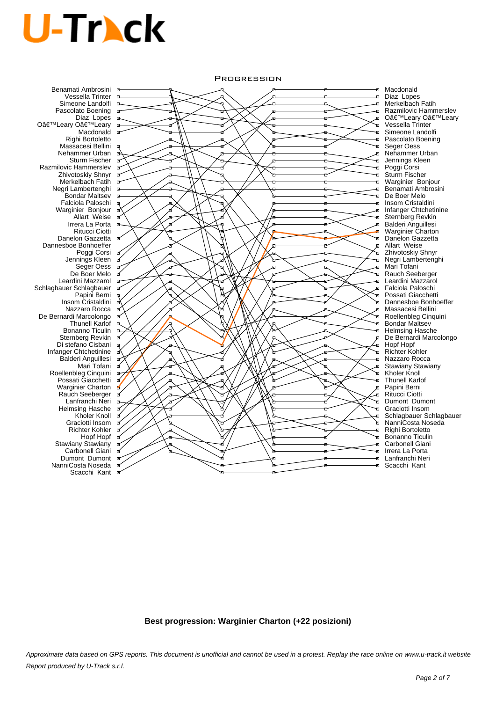Benamati Ambrosini Vessella Trinter Simeone Landolfi Pascolato Boening Diaz Lopes O'Leary O'Leary **Macdonald** Righi Bortoletto Massacesi Bellini Nehammer Urban Sturm Fischer Razmilovic Hammerslev Zhivotoskiy Shnyr Merkelbach Fatih Negri Lambertenghi Bondar Maltsev Falciola Paloschi Warginier Bonjour Allart Weise Irrera La Porta Ritucci Ciotti Danelon Gazzetta Dannesboe Bonhoeffer Poggi Corsi Jennings Kleen Seger Oess De Boer Melo Leardini Mazzarol Schlagbauer Schlagbauer Papini Berni Insom Cristaldini Nazzaro Rocca De Bernardi Marcolongo Thunell Karlof Bonanno Ticulin Sternberg Revkin Di stefano Cisbani Infanger Chtchetinine Balderi Anguillesi Mari Tofani Roellenbleg Cinquini Possati Giacchetti Warginier Charton Rauch Seeberger Lanfranchi Neri Helmsing Hasche Kholer Knoll Graciotti Insom Richter Kohler Hopf Hopf Stawiany Stawiany Carbonell Giani Dumont Dumont <sub>or</sub> NanniCosta Noseda Scacchi Kant

#### **PROGRESSION**



Macdonald Diaz Lopes Merkelbach Fatih Razmilovic Hammerslev O'Leary O'Leary Vessella Trinter Simeone Landolfi Pascolato Boening Seger Oess Nehammer Urban Jennings Kleen Poggi Corsi Sturm Fischer Warginier Bonjour Benamati Ambrosini De Boer Melo Insom Cristaldini Infanger Chtchetinine Sternberg Revkin Balderi Anguillesi Warginier Charton Danelon Gazzetta Allart Weise Zhivotoskiy Shnyr Negri Lambertenghi Mari Tofani Rauch Seeberger Leardini Mazzarol Falciola Paloschi Possati Giacchetti Dannesboe Bonhoeffer Massacesi Bellini Roellenbleg Cinquini Bondar Maltsev Helmsing Hasche De Bernardi Marcolongo Hopf Hopf Richter Kohler Nazzaro Rocca Stawiany Stawiany Kholer Knoll Thunell Karlof Papini Berni Ritucci Ciotti Dumont Dumont Graciotti Insom Schlagbauer Schlagbauer NanniCosta Noseda Righi Bortoletto Bonanno Ticulin Carbonell Giani Irrera La Porta Lanfranchi Neri Scacchi Kant

**Best progression: Warginier Charton (+22 posizioni)**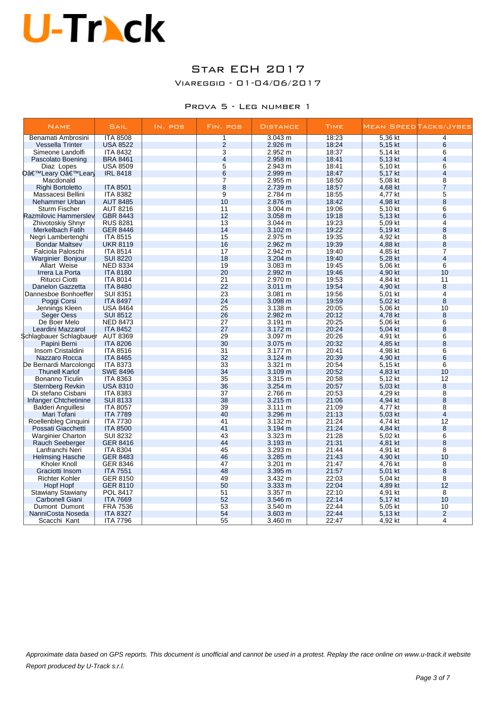## Star ECH 2017

Viareggio - 01-04/06/2017

#### Prova 5 - Leg number 1

| <b>NAME</b>                | <b>SAIL</b>                        | IN. POS | FIN. POS        | <b>DISTANCE</b>    | <b>TIME</b>    |                    | MEAN SPEED TACKS/JYBES |
|----------------------------|------------------------------------|---------|-----------------|--------------------|----------------|--------------------|------------------------|
| Benamati Ambrosini         | <b>ITA 8508</b>                    |         | 1               | 3.043 m            | 18:23          | 5,36 kt            | 4                      |
| <b>Vessella Trinter</b>    | <b>USA 8522</b>                    |         | $\overline{2}$  | 2.926 m            | 18.24          | 5,15 kt            | 6                      |
| Simeone Landolfi           | <b>ITA 8432</b>                    |         | $\overline{3}$  | 2.952 m            | 18:37          | 5,14 kt            | 6                      |
| Pascolato Boening          | <b>BRA 8461</b>                    |         | $\overline{4}$  | 2.958 m            | 18:41          | 5,13 kt            | $\overline{4}$         |
| Diaz Lopes                 | <b>USA 8509</b>                    |         | $\overline{5}$  | 2.943 m            | 18:41          | 5,10 kt            | 6                      |
| D'Leary O'Lear             | <b>IRL 8418</b>                    |         | $6\phantom{1}6$ | 2.999 m            | 18:47          | 5,17 kt            | $\overline{4}$         |
| Macdonald                  |                                    |         | $\overline{7}$  | 2.955 m            | 18:50          | 5,08 kt            | $\overline{8}$         |
| Righi Bortoletto           | <b>ITA 8501</b>                    |         | $\bf 8$         | 2.739 m            | 18:57          | 4,68 kt            | $\overline{7}$         |
| Massacesi Bellini          | <b>ITA 8382</b>                    |         | $\overline{9}$  | 2.784 m            | 18:55          | 4,77 kt            | $\overline{5}$         |
| Nehammer Urban             | <b>AUT 8485</b>                    |         | 10              | 2.876 m            | 18:42          | 4,98 kt            | 8                      |
| <b>Sturm Fischer</b>       | <b>AUT 8216</b>                    |         | 11              | 3.004 m            | 19:06          | 5,10 kt            | 6                      |
| Razmilovic Hammerslev      | <b>GBR 8443</b>                    |         | 12              | 3.058 m            | 19:18          | 5,13 kt            | 6                      |
| Zhivotoskiy Shnyr          | <b>RUS 8281</b>                    |         | 13              | 3.044 m            | 19:23          | 5,09 kt            | $\overline{4}$         |
| Merkelbach Fatih           | <b>GER 8446</b>                    |         | 14              | $3.102 \text{ m}$  | 19:22          | 5,19 kt            | 8                      |
| Negri Lambertenghi         | <b>ITA 8515</b>                    |         | 15              | 2.975 m            | 19:35          | 4,92 kt            | $\overline{8}$         |
| <b>Bondar Maltsev</b>      | <b>UKR 8119</b>                    |         | 16              | 2.962 m            | 19:39          | 4,88 kt            | 8                      |
| Falciola Paloschi          | <b>ITA 8514</b>                    |         | 17              | 2.942 m            | 19:40          | 4,85 kt            | $\overline{7}$         |
| Warginier Bonjour          | <b>SUI 8220</b>                    |         | 18              | 3.204 m            | 19:40          | 5,28 kt            | $\overline{4}$         |
| Allart Weise               | <b>NED 8334</b>                    |         | 19              | 3.083 m            | 19:45          | 5,06 kt            | $6\overline{6}$        |
| Irrera La Porta            | <b>ITA 8180</b>                    |         | 20              | 2.992 m            | 19:46          | 4,90 kt            | 10                     |
| <b>Ritucci Ciotti</b>      | <b>ITA 8014</b>                    |         | 21              | 2.970 m            | 19:53          | 4.84 kt            | 11                     |
| Danelon Gazzetta           | <b>ITA 8480</b>                    |         | 22              | 3.011 m            | 19:54          | 4,90 kt            | 8                      |
| Dannesboe Bonhoeffer       | <b>SUI 8351</b>                    |         | 23              | 3.081 m            | 19:56          | 5,01 kt            | $\overline{4}$         |
| Poggi Corsi                | <b>ITA 8497</b>                    |         | 24              | 3.098 m            | 19:59          | 5,02 kt            | 8                      |
| Jennings Kleen             | <b>USA 8464</b>                    |         | 25              | 3.138 m            | 20:05          | 5,06 kt            | 10                     |
|                            | <b>SUI 8512</b>                    |         | 26              | 2.982 m            | 20:12          | 4,78 kt            | 8                      |
| Seger Oess<br>De Boer Melo |                                    |         | 27              |                    |                |                    | 6                      |
| Leardini Mazzarol          | <b>NED 8473</b><br><b>ITA 8452</b> |         | 27              | 3.191 m<br>3.172 m | 20:25<br>20:24 | 5,06 kt<br>5,04 kt | 8                      |
|                            |                                    |         | 29              |                    |                |                    | 6                      |
| Schlagbauer Schlagbauer    | <b>AUT 8369</b>                    |         | 30              | 3.097 m            | 20:26          | 4,91 kt            |                        |
| Papini Berni               | <b>ITA 8206</b>                    |         |                 | 3.075 m            | 20:32          | 4,85 kt            | 8<br>$6\overline{6}$   |
| Insom Cristaldini          | <b>ITA 8516</b>                    |         | 31              | 3.177 m            | 20:41          | 4,98 kt            |                        |
| Nazzaro Rocca              | <b>ITA 8465</b>                    |         | 32              | 3.124 m            | 20:39          | 4,90 kt            | 6                      |
| De Bernardi Marcolongo     | <b>ITA 8373</b>                    |         | 33              | 3.321 m            | 20:54          | 5,15 kt            | 6                      |
| <b>Thunell Karlof</b>      | <b>SWE 8496</b>                    |         | 34              | 3.109 m            | 20:52          | 4,83 kt            | 10                     |
| <b>Bonanno Ticulin</b>     | <b>ITA 8363</b>                    |         | 35              | 3.315 m            | 20:58          | 5,12 kt            | 12                     |
| <b>Sternberg Revkin</b>    | <b>USA 8310</b>                    |         | 36              | 3.254 m            | 20:57          | 5,03 kt            | 8                      |
| Di stefano Cisbani         | <b>ITA 8383</b>                    |         | 37              | 2.766 m            | 20:53          | 4,29 kt            | $\overline{8}$         |
| Infanger Chtchetinine      | <b>SUI 8133</b>                    |         | 38              | 3.215 m            | 21:06          | 4,94 kt            | 8                      |
| Balderi Anguillesi         | <b>ITA 8057</b>                    |         | 39              | 3.111 m            | 21:09          | 4,77 kt            | $\overline{8}$         |
| Mari Tofani                | <b>ITA 7789</b>                    |         | 40              | 3.296 m            | 21:13          | 5,03 kt            | $\overline{4}$         |
| Roellenbleg Cinquini       | <b>ITA 7730</b>                    |         | 41              | 3.132 m            | 21:24          | 4,74 kt            | 12                     |
| Possati Giacchetti         | <b>ITA 8500</b>                    |         | 41              | 3.194 m            | 21:24          | 4,84 kt            | 8                      |
| <b>Warginier Charton</b>   | <b>SUI 8232</b>                    |         | 43              | 3.323 m            | 21:28          | 5,02 kt            | 6                      |
| Rauch Seeberger            | <b>GER 8416</b>                    |         | 44              | 3.193 m            | 21:31          | 4,81 kt            | 8                      |
| Lanfranchi Neri            | <b>ITA 8304</b>                    |         | 45              | 3.293 m            | 21:44          | 4,91 kt            | 8                      |
| <b>Helmsing Hasche</b>     | <b>GER 8483</b>                    |         | 46              | $3.285 \text{ m}$  | 21:43          | 4,90 kt            | 10                     |
| <b>Kholer Knoll</b>        | <b>GER 8346</b>                    |         | 47              | 3.201 m            | 21:47          | 4,76 kt            | $\overline{8}$         |
| Graciotti Insom            | <b>ITA 7551</b>                    |         | 48              | 3.395 m            | 21:57          | 5.01 kt            | 8                      |
| <b>Richter Kohler</b>      | <b>GER 8150</b>                    |         | 49              | 3.432 m            | 22:03          | 5,04 kt            | 8                      |
| Hopf Hopf                  | <b>GER 8110</b>                    |         | 50              | 3.333 m            | 22:04          | 4,89 kt            | 12                     |
| <b>Stawiany Stawiany</b>   | <b>POL 8417</b>                    |         | 51              | $3.357 \text{ m}$  | 22:10          | 4,91 kt            | $\overline{8}$         |
| Carbonell Giani            | <b>ITA 7669</b>                    |         | 52              | 3.546 m            | 22:14          | 5,17 kt            | 10                     |
| Dumont Dumont              | <b>FRA 7536</b>                    |         | 53              | 3.540 m            | 22:44          | 5,05 kt            | 10                     |
| NanniCosta Noseda          | <b>ITA 8327</b>                    |         | 54              | 3.603 m            | 22:44          | 5,13 kt            | $\overline{2}$         |
| Scacchi Kant               | <b>ITA 7796</b>                    |         | 55              | 3.460 m            | 22:47          | 4,92 kt            | 4                      |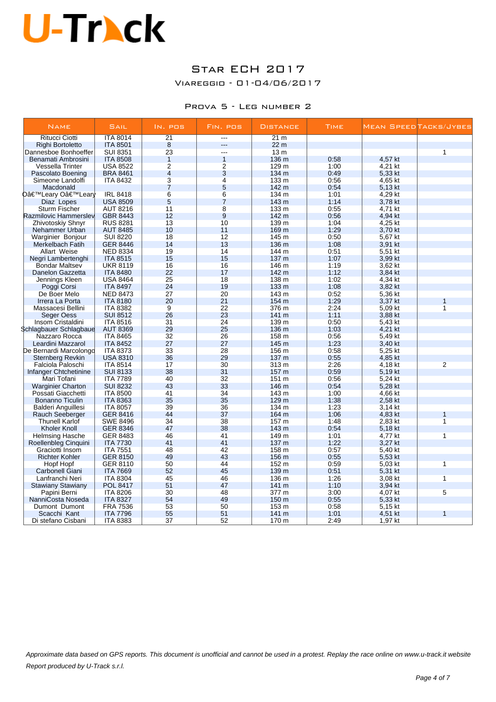## Star ECH 2017

Viareggio - 01-04/06/2017

#### Prova 5 - Leg number 2

| <b>NAME</b>              | SAIL            | IN. POS         | FIN. POS       | <b>DISTANCE</b> | <b>TIME</b> |         | Mean SpeedTacks/Jybes |
|--------------------------|-----------------|-----------------|----------------|-----------------|-------------|---------|-----------------------|
| <b>Ritucci Ciotti</b>    | <b>ITA 8014</b> | $\overline{21}$ | $\overline{a}$ | 21 m            |             |         |                       |
| Righi Bortoletto         | <b>ITA 8501</b> | 8               | ---            | 22 <sub>m</sub> |             |         |                       |
| Dannesboe Bonhoeffer     | <b>SUI 8351</b> | 23              | $\overline{a}$ | 13 <sub>m</sub> |             |         | 1                     |
| Benamati Ambrosini       | <b>ITA 8508</b> | $\mathbf{1}$    | $\overline{1}$ | 136 m           | 0:58        | 4,57 kt |                       |
| Vessella Trinter         | <b>USA 8522</b> | 2               | $\overline{2}$ | 129 m           | 1:00        | 4,21 kt |                       |
| Pascolato Boening        | <b>BRA 8461</b> | $\overline{4}$  | 3              | 134 m           | 0:49        | 5,33 kt |                       |
| Simeone Landolfi         | <b>ITA 8432</b> | 3               | $\overline{4}$ | 133 m           | 0:56        | 4,65 kt |                       |
| Macdonald                |                 | $\overline{7}$  | 5              | 142 m           | 0:54        | 5,13 kt |                       |
| D'Leary O'Learly         | <b>IRL 8418</b> | 6               | $\overline{6}$ | 134 m           | 1:01        | 4,29 kt |                       |
| Diaz Lopes               | <b>USA 8509</b> | 5               | $\overline{7}$ | 143 m           | 1:14        | 3,78 kt |                       |
| <b>Sturm Fischer</b>     | <b>AUT 8216</b> | 11              | 8              | 133 m           | 0:55        | 4.71 kt |                       |
| Razmilovic Hammerslev    | <b>GBR 8443</b> | 12              | 9              | 142 m           | 0:56        | 4,94 kt |                       |
| Zhivotoskiy Shnyr        | <b>RUS 8281</b> | 13              | 10             | 139 m           | 1:04        | 4,25 kt |                       |
| Nehammer Urban           | <b>AUT 8485</b> | 10              | 11             | 169 m           | 1:29        | 3,70 kt |                       |
| Warginier Bonjour        | <b>SUI 8220</b> | 18              | 12             | 145 m           | 0:50        | 5,67 kt |                       |
| Merkelbach Fatih         | <b>GER 8446</b> | 14              | 13             | 136 m           | 1:08        | 3,91 kt |                       |
| Allart Weise             | <b>NED 8334</b> | 19              | 14             | 144 m           | 0:51        | 5,51 kt |                       |
| Negri Lambertenghi       | <b>ITA 8515</b> | 15              | 15             | 137 m           | 1:07        | 3,99 kt |                       |
| <b>Bondar Maltsev</b>    | <b>UKR 8119</b> | 16              | 16             | 146 m           | 1:19        | 3,62 kt |                       |
| <b>Danelon Gazzetta</b>  | <b>ITA 8480</b> | 22              | 17             | 142 m           | 1:12        | 3,84 kt |                       |
| Jennings Kleen           | <b>USA 8464</b> | 25              | 18             | 138 m           | 1:02        | 4,34 kt |                       |
| Poggi Corsi              | <b>ITA 8497</b> | 24              | 19             | 133 m           | 1:08        | 3,82 kt |                       |
| De Boer Melo             | <b>NED 8473</b> | 27              | 20             | 143 m           | 0:52        | 5,36 kt |                       |
| Irrera La Porta          | <b>ITA 8180</b> | 20              | 21             | 154 m           | 1:29        | 3,37 kt |                       |
| Massacesi Bellini        | <b>ITA 8382</b> | 9               | 22             | 376 m           | 2:24        | 5,09 kt | $\overline{1}$        |
| Seger Oess               | <b>SUI 8512</b> | 26              | 23             | 141 m           | 1:11        | 3,88 kt |                       |
| Insom Cristaldini        | <b>ITA 8516</b> | 31              | 24             | 139 m           | 0:50        | 5,43 kt |                       |
| Schlagbauer Schlagbaue   | <b>AUT 8369</b> | 29              | 25             | 136 m           | 1:03        | 4,21 kt |                       |
| Nazzaro Rocca            | <b>ITA 8465</b> | 32              | 26             | 158 m           | 0:56        | 5,49 kt |                       |
| Leardini Mazzarol        | <b>ITA 8452</b> | 27              | 27             | 145 m           | 1:23        | 3,40 kt |                       |
| De Bernardi Marcolongo   | <b>ITA 8373</b> | 33              | 28             | 156 m           | 0:58        | 5,25 kt |                       |
| <b>Sternberg Revkin</b>  | <b>USA 8310</b> | 36              | 29             | 137 m           | 0:55        | 4,85 kt |                       |
| Falciola Paloschi        | <b>ITA 8514</b> | 17              | 30             | 313 m           | 2:26        | 4.18 kt | $\overline{2}$        |
| Infanger Chtchetinine    | <b>SUI 8133</b> | 38              | 31             | 157 m           | 0:59        | 5,19 kt |                       |
| Mari Tofani              | <b>ITA 7789</b> | 40              | 32             | 151 m           | 0:56        | 5,24 kt |                       |
| <b>Warginier Charton</b> | <b>SUI 8232</b> | 43              | 33             | 146 m           | 0:54        | 5,28 kt |                       |
| Possati Giacchetti       | <b>ITA 8500</b> | 41              | 34             | 143 m           | 1:00        | 4,66 kt |                       |
| <b>Bonanno Ticulin</b>   | <b>ITA 8363</b> | 35              | 35             | 129 m           | 1:38        | 2,58 kt |                       |
| Balderi Anguillesi       | <b>ITA 8057</b> | 39              | 36             | 134 m           | 1:23        | 3,14 kt |                       |
| <b>Rauch Seeberger</b>   | <b>GER 8416</b> | 44              | 37             | 164 m           | 1:06        | 4,83 kt | 1                     |
| <b>Thunell Karlof</b>    | <b>SWE 8496</b> | 34              | 38             | 157 m           | 1:48        | 2.83 kt | $\overline{1}$        |
| <b>Kholer Knoll</b>      | <b>GER 8346</b> | 47              | 38             | 143 m           | 0:54        | 5,18 kt |                       |
| <b>Helmsing Hasche</b>   | GER 8483        | 46              | 41             | 149 m           | 1:01        | 4,77 kt | $\mathbf{1}$          |
| Roellenbleg Cinquini     | <b>ITA 7730</b> | 41              | 41             | 137 m           | 1:22        | 3,27 kt |                       |
| Graciotti Insom          | <b>ITA 7551</b> | 48              | 42             | 158 m           | 0:57        | 5,40 kt |                       |
| <b>Richter Kohler</b>    | <b>GER 8150</b> | 49              | 43             | 156 m           | 0:55        | 5,53 kt |                       |
| Hopf Hopf                | <b>GER 8110</b> | 50              | 44             | 152 m           | 0:59        | 5,03 kt | $\overline{1}$        |
| <b>Carbonell Giani</b>   | <b>ITA 7669</b> | 52              | 45             | 139 m           | 0:51        | 5,31 kt |                       |
| Lanfranchi Neri          | <b>ITA 8304</b> | 45              | 46             | 136 m           | 1:26        | 3,08 kt | $\mathbf{1}$          |
| <b>Stawiany Stawiany</b> | POL 8417        | 51              | 47             | 141 m           | 1:10        | 3,94 kt |                       |
| Papini Berni             | <b>ITA 8206</b> | 30              | 48             | 377 m           | 3:00        | 4,07 kt | 5                     |
| NanniCosta Noseda        | <b>ITA 8327</b> | 54              | 49             | 150 m           | 0:55        | 5,33 kt |                       |
| Dumont Dumont            | <b>FRA 7536</b> | 53              | 50             | 153 m           | 0:58        | 5,15 kt |                       |
| Scacchi Kant             | <b>ITA 7796</b> | 55              | 51             | $141 \text{ m}$ | 1:01        | 4,51 kt | $\mathbf{1}$          |
| Di stefano Cisbani       | <b>ITA 8383</b> | 37              | 52             | 170 m           | 2:49        | 1,97 kt |                       |
|                          |                 |                 |                |                 |             |         |                       |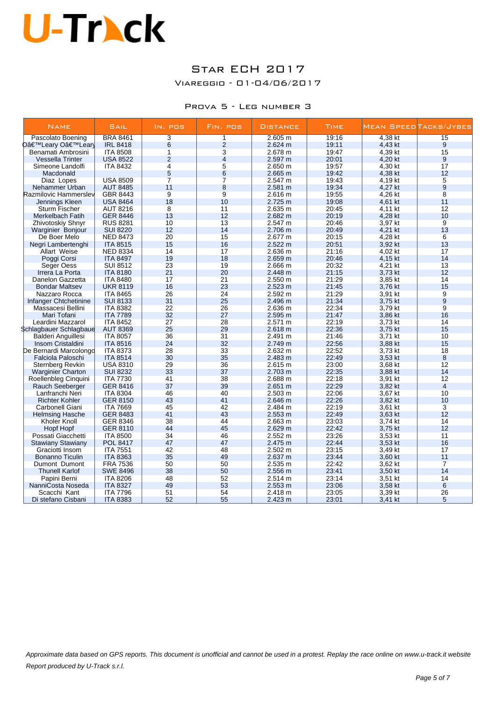## Star ECH 2017

Viareggio - 01-04/06/2017

#### Prova 5 - Leg number 3

| <b>NAME</b>                      | SAIL                               | $IN.$ $PQS$    | FIN. POS       | <b>DISTANCE</b> | <b>TIME</b>    |                    | Mean SpeedTacks/Jybes |
|----------------------------------|------------------------------------|----------------|----------------|-----------------|----------------|--------------------|-----------------------|
| Pascolato Boening                | <b>BRA 8461</b>                    | 3              | 1              | 2.605 m         | 19:16          | 4,38 kt            | 15                    |
| D'Leary O'Lear                   | <b>IRL 8418</b>                    | 6              | $\overline{2}$ | 2.624 m         | 19:11          | 4,43 kt            | 9                     |
| Benamati Ambrosini               | <b>ITA 8508</b>                    | 1              | 3              | 2.678 m         | 19:47          | 4,39 kt            | 15                    |
| <b>Vessella Trinter</b>          | <b>USA 8522</b>                    | $\overline{2}$ | $\overline{4}$ | 2.597 m         | 20:01          | 4,20 kt            | 9                     |
| Simeone Landolfi                 | <b>ITA 8432</b>                    | 4              | 5              | 2.650 m         | 19:57          | 4,30 kt            | 17                    |
| Macdonald                        |                                    | 5              | 6              | 2.665 m         | 19:42          | 4,38 kt            | 12                    |
| Diaz Lopes                       | <b>USA 8509</b>                    | $\overline{7}$ | $\overline{7}$ | 2.547 m         | 19:43          | 4,19 kt            | 5                     |
| Nehammer Urban                   | <b>AUT 8485</b>                    | 11             | 8              | 2.581 m         | 19:34          | 4,27 kt            | $\overline{9}$        |
| Razmilovic Hammerslev            | GBR 8443                           | 9              | 9              | 2.616 m         | 19:55          | 4,26 kt            | $\overline{8}$        |
| Jennings Kleen                   | <b>USA 8464</b>                    | 18             | 10             | 2.725 m         | 19:08          | 4,61 kt            | 11                    |
| <b>Sturm Fischer</b>             | <b>AUT 8216</b>                    | 8              | 11             | 2.635 m         | 20:45          | 4,11 kt            | 12                    |
| Merkelbach Fatih                 | <b>GER 8446</b>                    | 13             | 12             | 2.682 m         | 20:19          | 4,28 kt            | 10                    |
| Zhivotoskiy Shnyr                | <b>RUS 8281</b>                    | 10             | 13             | 2.547 m         | 20:46          | 3,97 kt            | 9                     |
| Warginier Bonjour                | <b>SUI 8220</b>                    | 12             | 14             | 2.706 m         | 20:49          | 4,21 kt            | 13                    |
| De Boer Melo                     | <b>NED 8473</b>                    | 20             | 15             | 2.677 m         | 20:15          | 4,28 kt            | 6                     |
| Negri Lambertenghi               | <b>ITA 8515</b>                    | 15             | 16             | 2.522 m         | 20:51          | 3,92 kt            | 13                    |
| Allart Weise                     | <b>NED 8334</b>                    | 14             | 17             | 2.636 m         | 21:16          | 4,02 kt            | 17                    |
| Poggi Corsi                      | <b>ITA 8497</b>                    | 19             | 18             | 2.659 m         | 20:46          | 4,15 kt            | 14                    |
| Seger Oess                       | <b>SUI 8512</b>                    | 23             | 19             | 2.666 m         | 20:32          | 4,21 kt            | 13                    |
| Irrera La Porta                  | <b>ITA 8180</b>                    | 21             | 20             | 2.448 m         | 21:15          | 3,73 kt            | 12                    |
| Danelon Gazzetta                 | <b>ITA 8480</b>                    | 17             | 21             | 2.550 m         | 21:29          | 3.85 kt            | 14                    |
| <b>Bondar Maltsev</b>            | <b>UKR 8119</b>                    | 16             | 23             | 2.523 m         | 21:45          | 3,76 kt            | 15                    |
| Nazzaro Rocca                    | <b>ITA 8465</b>                    | 26             | 24             | 2.592 m         | 21:29          | 3,91 kt            | $\overline{9}$        |
|                                  | <b>SUI 8133</b>                    | 31             | 25             | 2.496 m         | 21:34          | 3,75 kt            | $\overline{9}$        |
| Infanger Chtchetinine            | <b>ITA 8382</b>                    | 22             | 26             | 2.636 m         | 22:34          | 3,79 kt            | $\overline{9}$        |
| Massacesi Bellini<br>Mari Tofani | <b>ITA 7789</b>                    | 32             | 27             | 2.595 m         | 21:47          | 3.86 kt            | 16                    |
|                                  |                                    | 27             | 28             |                 |                |                    | 14                    |
| Leardini Mazzarol                | <b>ITA 8452</b><br><b>AUT 8369</b> | 25             | 29             | 2.571 m         | 22:19<br>22:36 | 3,73 kt<br>3,75 kt | 15                    |
| Schlagbauer Schlagbaue           |                                    |                |                | 2.618 m         |                |                    | 10                    |
| Balderi Anguillesi               | <b>ITA 8057</b><br><b>ITA 8516</b> | 36<br>24       | 31<br>32       | 2.491 m         | 21:46          | 3,71 kt            | 15                    |
| Insom Cristaldini                |                                    | 28             | 33             | 2.749 m         | 22:56          | 3.88 kt            |                       |
| De Bernardi Marcolongd           | <b>ITA 8373</b>                    |                |                | 2.632 m         | 22:52          | 3,73 kt            | 18                    |
| Falciola Paloschi                | <b>ITA 8514</b>                    | 30             | 35             | 2.483 m         | 22:49          | 3,53 kt            | 8                     |
| Sternberg Revkin                 | <b>USA 8310</b>                    | 29             | 36             | 2.615 m         | 23:00          | 3,68 kt            | 12                    |
| <b>Warginier Charton</b>         | <b>SUI 8232</b>                    | 33             | 37             | 2.703 m         | 22:35          | 3,88 kt            | 14                    |
| Roellenbleg Cinquini             | <b>ITA 7730</b>                    | 41             | 38             | 2.688 m         | 22:18          | 3,91 kt            | 12                    |
| Rauch Seeberger                  | <b>GER 8416</b>                    | 37             | 39             | 2.651 m         | 22:29          | 3,82 kt            | $\overline{4}$        |
| Lanfranchi Neri                  | <b>ITA 8304</b>                    | 46             | 40             | 2.503 m         | 22:06          | 3,67 kt            | 10                    |
| <b>Richter Kohler</b>            | <b>GER 8150</b>                    | 43             | 41             | 2.646 m         | 22:26          | 3,82 kt            | 10                    |
| Carbonell Giani                  | <b>ITA 7669</b>                    | 45             | 42             | 2.484 m         | 22:19          | 3,61 kt            | 3                     |
| <b>Helmsing Hasche</b>           | <b>GER 8483</b>                    | 41             | 43             | 2.553 m         | 22:49          | 3,63 kt            | 12                    |
| Kholer Knoll                     | GER 8346                           | 38             | 44             | 2.663 m         | 23:03          | 3,74 kt            | 14                    |
| Hopf Hopf                        | <b>GER 8110</b>                    | 44             | 45             | 2.629 m         | 22:42          | 3,75 kt            | 12                    |
| Possati Giacchetti               | <b>ITA 8500</b>                    | 34             | 46             | 2.552 m         | 23:26          | 3,53 kt            | 11                    |
| <b>Stawiany Stawiany</b>         | POL 8417                           | 47             | 47             | 2.475 m         | 22:44          | 3,53 kt            | 16                    |
| Graciotti Insom                  | <b>ITA 7551</b>                    | 42             | 48             | 2.502 m         | 23:15          | 3,49 kt            | 17                    |
| <b>Bonanno Ticulin</b>           | <b>ITA 8363</b>                    | 35             | 49             | 2.637 m         | 23:44          | 3,60 kt            | 11                    |
| Dumont Dumont                    | <b>FRA 7536</b>                    | 50             | 50             | 2.535 m         | 22:42          | 3,62 kt            | 7                     |
| <b>Thunell Karlof</b>            | <b>SWE 8496</b>                    | 38             | 50             | 2.556 m         | 23:41          | 3,50 kt            | 14                    |
| Papini Berni                     | <b>ITA 8206</b>                    | 48             | 52             | 2.514 m         | 23:14          | 3,51 kt            | 14                    |
| NanniCosta Noseda                | <b>ITA 8327</b>                    | 49             | 53             | 2.553 m         | 23:06          | 3,58 kt            | 6                     |
| Scacchi Kant                     | <b>ITA 7796</b>                    | 51             | 54             | 2.418 m         | 23:05          | 3,39 kt            | 26                    |
| Di stefano Cisbani               | <b>ITA 8383</b>                    | 52             | 55             | 2.423 m         | 23:01          | 3,41 kt            | 5                     |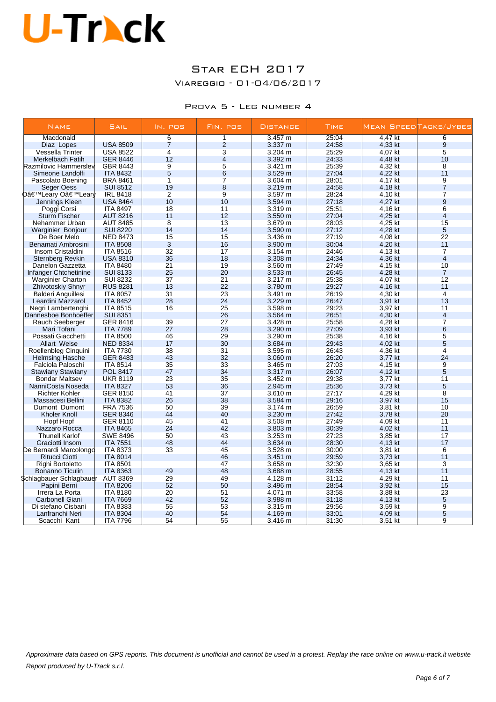## Star ECH 2017

Viareggio - 01-04/06/2017

#### Prova 5 - Leg number 4

| <b>NAME</b>                     | SAIL            | IN. POS        | FIN. POS       | <b>DISTANCE</b>   | TIME  |         | Mean SpeedTacks/Jybes   |
|---------------------------------|-----------------|----------------|----------------|-------------------|-------|---------|-------------------------|
| Macdonald                       |                 | $\overline{6}$ | 1              | 3.457 m           | 25:04 | 4.47 kt | $\overline{6}$          |
| Diaz Lopes                      | <b>USA 8509</b> | $\overline{7}$ | $\overline{2}$ | $3.337 \; m$      | 24:58 | 4,33 kt | 9                       |
| Vessella Trinter                | <b>USA 8522</b> | 4              | $\overline{3}$ | 3.204 m           | 25:29 | 4,07 kt | $\overline{5}$          |
| Merkelbach Fatih                | <b>GER 8446</b> | 12             | $\overline{4}$ | 3.392 m           | 24:33 | 4,48 kt | 10                      |
| Razmilovic Hammersley           | GBR 8443        | 9              | 5              | 3.421 m           | 25:39 | 4,32 kt | 8                       |
| Simeone Landolfi                | <b>ITA 8432</b> | 5              | 6              | 3.529 m           | 27:04 | 4,22 kt | 11                      |
| Pascolato Boening               | <b>BRA 8461</b> | $\mathbf{1}$   | $\overline{7}$ | 3.604 m           | 28:01 | 4,17 kt | 9                       |
| <b>Seger Oess</b>               | <b>SUI 8512</b> | 19             | 8              | 3.219 m           | 24:58 | 4,18 kt | $\overline{7}$          |
| O'Leary O'Lear <mark>l</mark> y | <b>IRL 8418</b> | $\overline{2}$ | $\overline{9}$ | 3.597 m           | 28:24 | 4,10 kt | $\overline{\mathbf{7}}$ |
| Jennings Kleen                  | <b>USA 8464</b> | 10             | 10             | 3.594 m           | 27:18 | 4,27 kt | 9                       |
| Poggi Corsi                     | <b>ITA 8497</b> | 18             | 11             | 3.319 m           | 25.51 | 4,16 kt | $6\overline{6}$         |
| <b>Sturm Fischer</b>            | <b>AUT 8216</b> | 11             | 12             | 3.550 m           | 27:04 | 4,25 kt | 4                       |
| Nehammer Urban                  | <b>AUT 8485</b> | 8              | 13             | 3.679 m           | 28:03 | 4,25 kt | 15                      |
| Warginier Bonjour               | <b>SUI 8220</b> | 14             | 14             | $3.590 \; m$      | 27:12 | 4,28 kt | 5                       |
| De Boer Melo                    | <b>NED 8473</b> | 15             | 15             | 3.436 m           | 27:19 | 4,08 kt | 22                      |
| Benamati Ambrosini              | <b>ITA 8508</b> | 3              | 16             | $3.900 \text{ m}$ | 30:04 | 4,20 kt | 11                      |
| Insom Cristaldini               | <b>ITA 8516</b> | 32             | 17             | $3.154 \text{ m}$ | 24:46 | 4,13 kt | $\overline{7}$          |
| <b>Sternberg Revkin</b>         | <b>USA 8310</b> | 36             | 18             | $3.308 \text{ m}$ | 24:34 | 4,36 kt | $\overline{4}$          |
| Danelon Gazzetta                | <b>ITA 8480</b> | 21             | 19             | $3.560 \; m$      | 27:49 | 4,15 kt | 10                      |
| Infanger Chtchetinine           | <b>SUI 8133</b> | 25             | 20             | 3.533 m           | 26:45 | 4,28 kt | $\overline{7}$          |
|                                 |                 |                | 21             |                   |       |         |                         |
| <b>Warginier Charton</b>        | <b>SUI 8232</b> | 37             |                | $3.217 \text{ m}$ | 25:38 | 4,07 kt | 12                      |
| <b>Zhivotoskiy Shnyr</b>        | <b>RUS 8281</b> | 13             | 22             | 3.780 m           | 29:27 | 4,16 kt | 11                      |
| <b>Balderi Anguillesi</b>       | <b>ITA 8057</b> | 31             | 23             | 3.491 m           | 26:19 | 4,30 kt | $\overline{4}$          |
| Leardini Mazzarol               | <b>ITA 8452</b> | 28             | 24             | 3.229 m           | 26:47 | 3,91 kt | 13                      |
| Negri Lambertenghi              | <b>ITA 8515</b> | 16             | 25             | 3.598 m           | 29:23 | 3,97 kt | 11                      |
| Dannesboe Bonhoeffer            | <b>SUI 8351</b> |                | 26             | 3.564 m           | 26:51 | 4,30 kt | $\overline{4}$          |
| Rauch Seeberger                 | GER 8416        | 39             | 27             | 3.428 m           | 25:58 | 4,28 kt | $\overline{7}$          |
| Mari Tofani                     | <b>ITA 7789</b> | 27             | 28             | 3.290 m           | 27:09 | 3,93 kt | 6                       |
| Possati Giacchetti              | <b>ITA 8500</b> | 46             | 29             | $3.290 \text{ m}$ | 25:38 | 4,16 kt | 5                       |
| <b>Allart Weise</b>             | <b>NED 8334</b> | 17             | 30             | 3.684 m           | 29:43 | 4,02 kt | 5                       |
| Roellenbleg Cinguini            | <b>ITA 7730</b> | 38             | 31             | 3.595 m           | 26:43 | 4,36 kt | $\overline{4}$          |
| <b>Helmsing Hasche</b>          | <b>GER 8483</b> | 43             | 32             | $3.060 \; m$      | 26:20 | 3,77 kt | 24                      |
| Falciola Paloschi               | <b>ITA 8514</b> | 35             | 33             | $3.465 \text{ m}$ | 27:03 | 4,15 kt | 9                       |
| <b>Stawiany Stawiany</b>        | <b>POL 8417</b> | 47             | 34             | 3.317 m           | 26:07 | 4,12 kt | 5                       |
| <b>Bondar Maltsev</b>           | <b>UKR 8119</b> | 23             | 35             | 3.452 m           | 29:38 | 3,77 kt | 11                      |
| NanniCosta Noseda               | <b>ITA 8327</b> | 53             | 36             | 2.945 m           | 25:36 | 3,73 kt | 5                       |
| <b>Richter Kohler</b>           | <b>GER 8150</b> | 41             | 37             | 3.610 m           | 27:17 | 4,29 kt | $\overline{8}$          |
| Massacesi Bellini               | <b>ITA 8382</b> | 26             | 38             | 3.584 m           | 29:16 | 3,97 kt | 15                      |
| Dumont Dumont                   | <b>FRA 7536</b> | 50             | 39             | 3.174 m           | 26:59 | 3,81 kt | 10                      |
| <b>Kholer Knoll</b>             | <b>GER 8346</b> | 44             | 40             | 3.230 m           | 27:42 | 3,78 kt | 20                      |
| Hopf Hopf                       | GER 8110        | 45             | 41             | 3.508 m           | 27:49 | 4,09 kt | 11                      |
| Nazzaro Rocca                   | <b>ITA 8465</b> | 24             | 42             | 3.803 m           | 30:39 | 4,02 kt | 11                      |
| <b>Thunell Karlof</b>           | <b>SWE 8496</b> | 50             | 43             | 3.253 m           | 27:23 | 3,85 kt | 17                      |
| Graciotti Insom                 | <b>ITA 7551</b> | 48             | 44             | 3.634 m           | 28:30 | 4,13 kt | 17                      |
| De Bernardi Marcolongo          | <b>ITA 8373</b> | 33             | 45             | 3.528 m           | 30:00 | 3,81 kt | 6                       |
| <b>Ritucci Ciotti</b>           | <b>ITA 8014</b> |                | 46             | $3.451 \text{ m}$ | 29:59 | 3,73 kt | 11                      |
| Righi Bortoletto                | <b>ITA 8501</b> |                | 47             | 3.658 m           | 32:30 | 3,65 kt | $\overline{3}$          |
| <b>Bonanno Ticulin</b>          | <b>ITA 8363</b> | 49             | 48             | 3.688 m           | 28:55 | 4,13 kt | 11                      |
| Schlagbauer Schlagbauer         | <b>AUT 8369</b> | 29             | 49             | 4.128 m           | 31:12 | 4,29 kt | 11                      |
| Papini Berni                    | <b>ITA 8206</b> | 52             | 50             | 3.496 m           | 28:54 | 3,92 kt | 15                      |
|                                 |                 | 20             | 51             |                   |       |         | 23                      |
| Irrera La Porta                 | <b>ITA 8180</b> | 42             |                | 4.071 m           | 33:58 | 3,88 kt |                         |
| Carbonell Giani                 | <b>ITA 7669</b> |                | 52             | 3.988 m           | 31:18 | 4,13 kt | 5                       |
| Di stefano Cisbani              | <b>ITA 8383</b> | 55             | 53             | 3.315 m           | 29:56 | 3,59 kt | 9                       |
| Lanfranchi Neri                 | <b>ITA 8304</b> | 40             | 54             | 4.169 m           | 33:01 | 4,09 kt | 5                       |
| Scacchi Kant                    | <b>ITA 7796</b> | 54             | 55             | 3.416 m           | 31:30 | 3,51 kt | $\overline{9}$          |